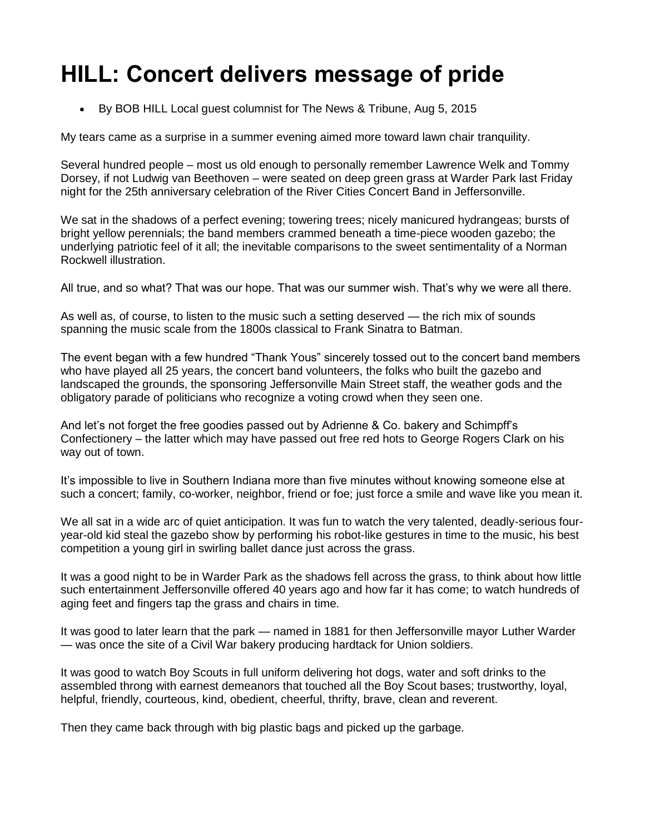## **HILL: Concert delivers message of pride**

By BOB HILL Local guest columnist for The News & Tribune, Aug 5, 2015

My tears came as a surprise in a summer evening aimed more toward lawn chair tranquility.

Several hundred people – most us old enough to personally remember Lawrence Welk and Tommy Dorsey, if not Ludwig van Beethoven – were seated on deep green grass at Warder Park last Friday night for the 25th anniversary celebration of the River Cities Concert Band in Jeffersonville.

We sat in the shadows of a perfect evening; towering trees; nicely manicured hydrangeas; bursts of bright yellow perennials; the band members crammed beneath a time-piece wooden gazebo; the underlying patriotic feel of it all; the inevitable comparisons to the sweet sentimentality of a Norman Rockwell illustration.

All true, and so what? That was our hope. That was our summer wish. That's why we were all there.

As well as, of course, to listen to the music such a setting deserved — the rich mix of sounds spanning the music scale from the 1800s classical to Frank Sinatra to Batman.

The event began with a few hundred "Thank Yous" sincerely tossed out to the concert band members who have played all 25 years, the concert band volunteers, the folks who built the gazebo and landscaped the grounds, the sponsoring Jeffersonville Main Street staff, the weather gods and the obligatory parade of politicians who recognize a voting crowd when they seen one.

And let's not forget the free goodies passed out by Adrienne & Co. bakery and Schimpff's Confectionery – the latter which may have passed out free red hots to George Rogers Clark on his way out of town.

It's impossible to live in Southern Indiana more than five minutes without knowing someone else at such a concert; family, co-worker, neighbor, friend or foe; just force a smile and wave like you mean it.

We all sat in a wide arc of quiet anticipation. It was fun to watch the very talented, deadly-serious fouryear-old kid steal the gazebo show by performing his robot-like gestures in time to the music, his best competition a young girl in swirling ballet dance just across the grass.

It was a good night to be in Warder Park as the shadows fell across the grass, to think about how little such entertainment Jeffersonville offered 40 years ago and how far it has come; to watch hundreds of aging feet and fingers tap the grass and chairs in time.

It was good to later learn that the park — named in 1881 for then Jeffersonville mayor Luther Warder — was once the site of a Civil War bakery producing hardtack for Union soldiers.

It was good to watch Boy Scouts in full uniform delivering hot dogs, water and soft drinks to the assembled throng with earnest demeanors that touched all the Boy Scout bases; trustworthy, loyal, helpful, friendly, courteous, kind, obedient, cheerful, thrifty, brave, clean and reverent.

Then they came back through with big plastic bags and picked up the garbage.